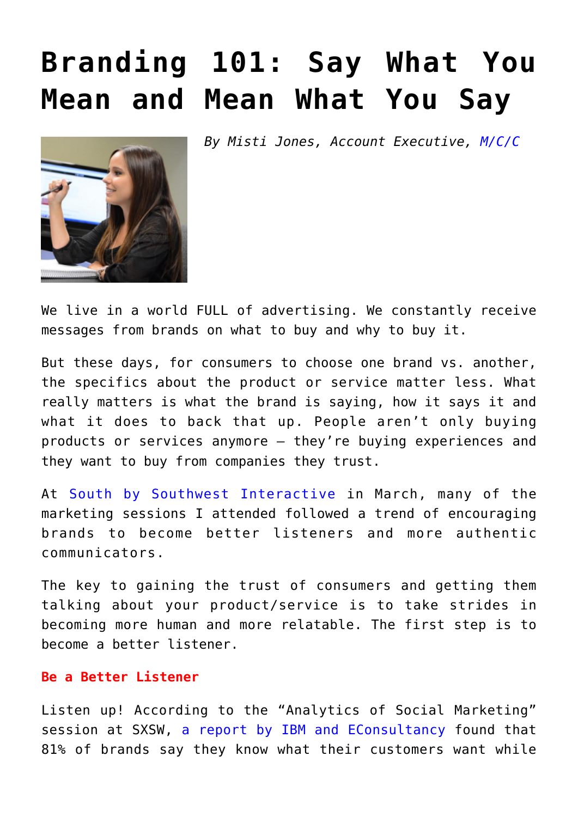## **[Branding 101: Say What You](https://www.commpro.biz/branding-101-say-what-you-mean-and-mean-what-you-say/) [Mean and Mean What You Say](https://www.commpro.biz/branding-101-say-what-you-mean-and-mean-what-you-say/)**

*By Misti Jones, Account Executive, [M/C/C](https://mccom.com/)*



We live in a world FULL of advertising. We constantly receive messages from brands on what to buy and why to buy it.

But these days, for consumers to choose one brand vs. another, the specifics about the product or service matter less. What really matters is what the brand is saying, how it says it and what it does to back that up. People aren't only buying products or services anymore – they're buying experiences and they want to buy from companies they trust.

At [South by Southwest Interactive](https://www.sxsw.com/interactive/about) in March, many of the marketing sessions I attended followed a trend of encouraging brands to become better listeners and more authentic communicators.

The key to gaining the trust of consumers and getting them talking about your product/service is to take strides in becoming more human and more relatable. The first step is to become a better listener.

## **Be a Better Listener**

Listen up! According to the "Analytics of Social Marketing" session at SXSW, [a report by IBM and EConsultancy](https://www.ibm.com/blogs/commerce/2015/12/driving-improved-engagements-with-customer-experience-cx-analytics/) found that 81% of brands say they know what their customers want while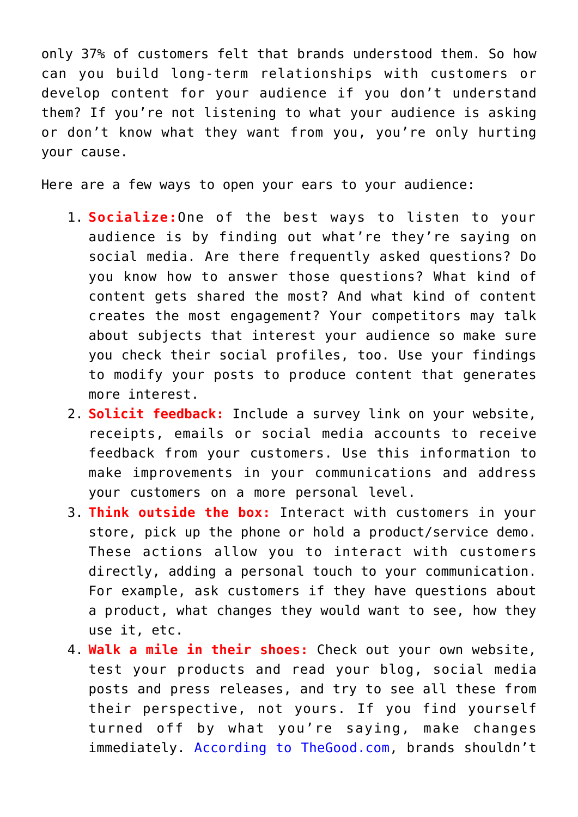only 37% of customers felt that brands understood them. So how can you build long-term relationships with customers or develop content for your audience if you don't understand them? If you're not listening to what your audience is asking or don't know what they want from you, you're only hurting your cause.

Here are a few ways to open your ears to your audience:

- 1. **Socialize:**One of the best ways to listen to your audience is by finding out what're they're saying on social media. Are there frequently asked questions? Do you know how to answer those questions? What kind of content gets shared the most? And what kind of content creates the most engagement? Your competitors may talk about subjects that interest your audience so make sure you check their social profiles, too. Use your findings to modify your posts to produce content that generates more interest.
- 2. **Solicit feedback:** Include a survey link on your website, receipts, emails or social media accounts to receive feedback from your customers. Use this information to make improvements in your communications and address your customers on a more personal level.
- 3. **Think outside the box:** Interact with customers in your store, pick up the phone or hold a product/service demo. These actions allow you to interact with customers directly, adding a personal touch to your communication. For example, ask customers if they have questions about a product, what changes they would want to see, how they use it, etc.
- 4. **Walk a mile in their shoes:** Check out your own website, test your products and read your blog, social media posts and press releases, and try to see all these from their perspective, not yours. If you find yourself turned off by what you're saying, make changes immediately. [According to TheGood.com](https://thegood.com/insights/top-10-why-brands-should-stop-yelling-and-start-listening/), brands shouldn't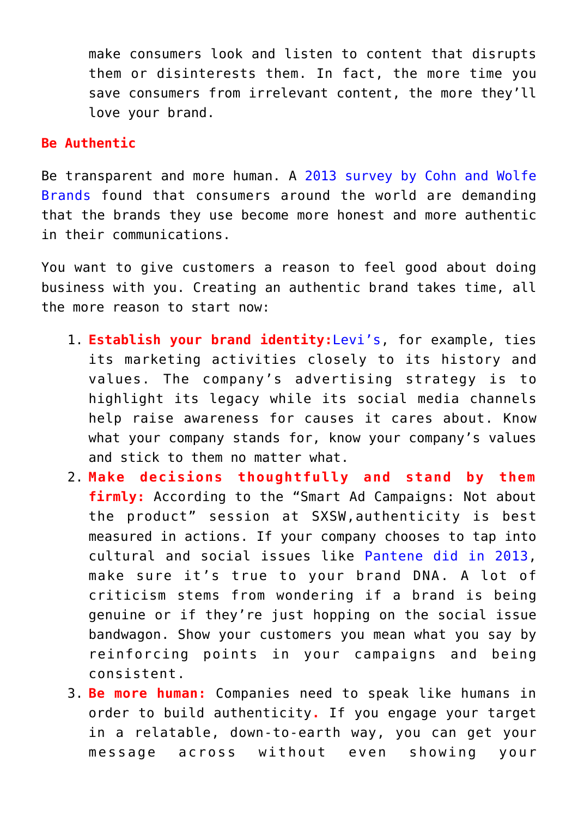make consumers look and listen to content that disrupts them or disinterests them. In fact, the more time you save consumers from irrelevant content, the more they'll love your brand.

## **Be Authentic**

Be transparent and more human. A [2013 survey by Cohn and Wolfe](https://www.cohnwolfe.com/en/news/give-us-truth-us-uk-and-china-consumers-demand-honest-and-ethics-global-brands) [Brands](https://www.cohnwolfe.com/en/news/give-us-truth-us-uk-and-china-consumers-demand-honest-and-ethics-global-brands) found that consumers around the world are demanding that the brands they use become more honest and more authentic in their communications.

You want to give customers a reason to feel good about doing business with you. Creating an authentic brand takes time, all the more reason to start now:

- 1. **Establish your brand identity:**[Levi's,](https://www.entrepreneur.com/article/243412) for example, ties its marketing activities closely to its history and values. The company's advertising strategy is to highlight its legacy while its social media channels help raise awareness for causes it cares about. Know what your company stands for, know your company's values and stick to them no matter what.
- 2. **Make decisions thoughtfully and stand by them firmly:** According to the "Smart Ad Campaigns: Not about the product" session at SXSW,authenticity is best measured in actions. If your company chooses to tap into cultural and social issues like [Pantene did in 2013,](https://www.youtube.com/watch?v=-K2kfgW7708) make sure it's true to your brand DNA. A lot of criticism stems from wondering if a brand is being genuine or if they're just hopping on the social issue bandwagon. Show your customers you mean what you say by reinforcing points in your campaigns and being consistent.
- 3. **Be more human:** Companies need to speak like humans in order to build authenticity**.** If you engage your target in a relatable, down-to-earth way, you can get your message across without even showing your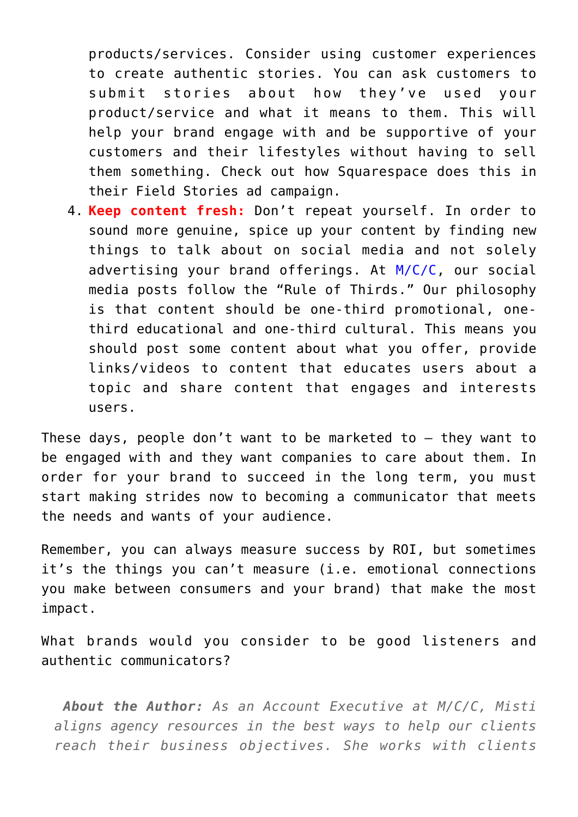products/services. Consider using customer experiences to create authentic stories. You can ask customers to submit stories about how they've used your product/service and what it means to them. This will help your brand engage with and be supportive of your customers and their lifestyles without having to sell them something. Check out how Squarespace does this in their [Field Stories ad campaign](https://www.youtube.com/watch?v=e58Lr9oRHc4).

4. **Keep content fresh:** Don't repeat yourself. In order to sound more genuine, spice up your content by finding new things to talk about on social media and not solely advertising your brand offerings. At [M/C/C,](https://mccom.com/) our social media posts follow the "Rule of Thirds." Our philosophy is that content should be one-third promotional, onethird educational and one-third cultural. This means you should post some content about what you offer, provide links/videos to content that educates users about a topic and share content that engages and interests users.

These days, people don't want to be marketed to – they want to be engaged with and they want companies to care about them. In order for your brand to succeed in the long term, you must start making strides now to becoming a communicator that meets the needs and wants of your audience.

Remember, you can always measure success by ROI, but sometimes it's the things you can't measure (i.e. emotional connections you make between consumers and your brand) that make the most impact.

What brands would you consider to be good listeners and authentic communicators?

*About the Author: As an Account Executive at M/C/C, Misti aligns agency resources in the best ways to help our clients reach their business objectives. She works with clients*